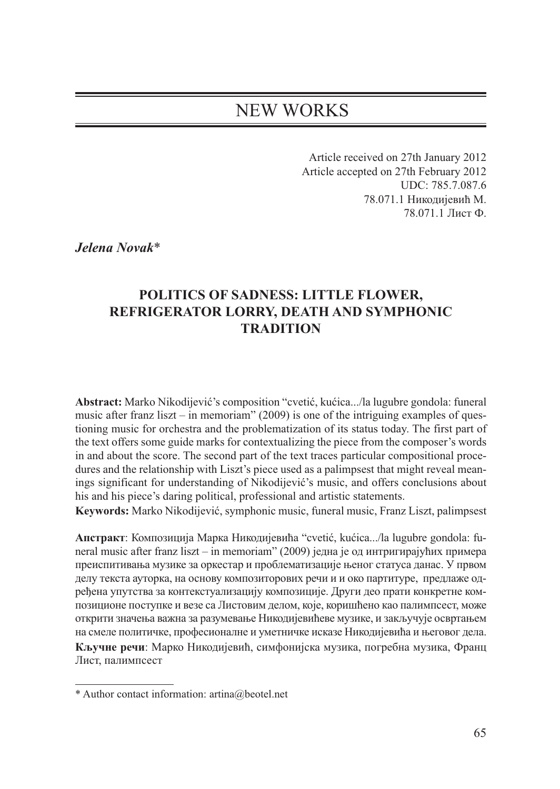# NEW WORKS

Article received on 27th January 2012 Article accepted on 27th February 2012 UDC: 785.7.087.6 78.071.1 Никодијевић М. 78.071.1 Лист Ф.

*Jelena Novak*\*

# **POLITICS OF SADNESS: LITTLE FLOWER, REFRIGERATOR LORRY, DEATH AND SYMPHONIC TRADITION**

**Abstract:** Marko Nikodijević's composition "cvetić, kućica.../la lugubre gondola: funeral music after franz liszt – in memoriam" (2009) is one of the intriguing examples of questioning music for orchestra and the problematization of its status today. The first part of the text offers some guide marks for contextualizing the piece from the composer's words in and about the score. The second part of the text traces particular compositional procedures and the relationship with Liszt's piece used as a palimpsest that might reveal meanings significant for understanding of Nikodijević's music, and offers conclusions about his and his piece's daring political, professional and artistic statements.

**Keywords:** Marko Nikodijević, symphonic music, funeral music, Franz Liszt, palimpsest

**Апстракт**: Композиција Марка Никодијевића "cvetić, kućica.../la lugubre gondola: funeral music after franz liszt – in memoriam" (2009) једна је од интригирајућих примера преиспитивања музике за оркестар и проблематизације њеног статуса данас. У првом делу текста ауторка, на основу композиторових речи и и око партитуре, предлаже одређена упутства за контекстуализацију композиције. Други део прати конкретне композиционе поступке и везе са Листовим делом, које, коришћено као палимпсест, може открити значења важна за разумевање Никодијевићеве музике, и закључује освртањем на смеле политичке, професионалне и уметничке исказе Никодијевића и његовог дела. **Кључне речи**: Марко Никодијевић, симфонијска музика, погребна музика, Франц Лист, палимпсест

<sup>\*</sup> Author contact information: artina@beotel.net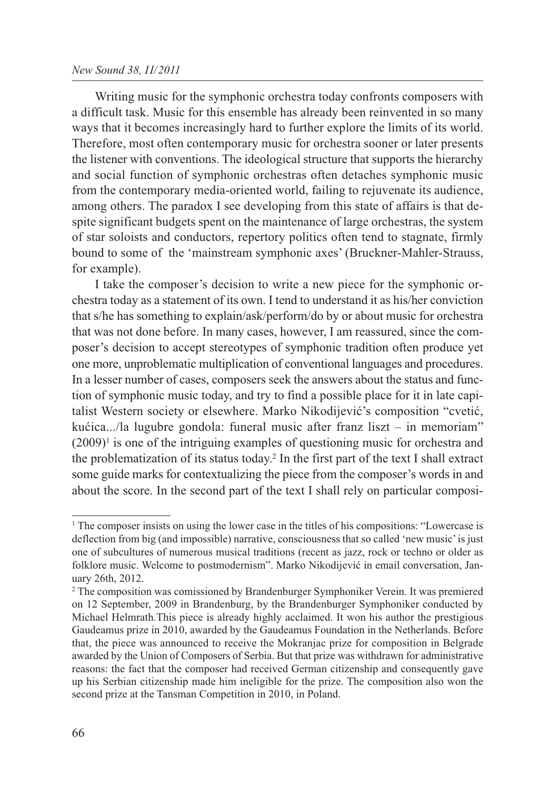#### *New Sound 38, II/2011*

Writing music for the symphonic orchestra today confronts composers with a difficult task. Music for this ensemble has already been reinvented in so many ways that it becomes increasingly hard to further explore the limits of its world. Therefore, most often contemporary music for orchestra sooner or later presents the listener with conventions. The ideological structure that supports the hierarchy and social function of symphonic orchestras often detaches symphonic music from the contemporary media-oriented world, failing to rejuvenate its audience, among others. The paradox I see developing from this state of affairs is that despite significant budgets spent on the maintenance of large orchestras, the system of star soloists and conductors, repertory politics often tend to stagnate, firmly bound to some of the 'mainstream symphonic axes' (Bruckner-Mahler-Strauss, for example).

I take the composer's decision to write a new piece for the symphonic orchestra today as a statement of its own. I tend to understand it as his/her conviction that s/he has something to explain/ask/perform/do by or about music for orchestra that was not done before. In many cases, however, I am reassured, since the composer's decision to accept stereotypes of symphonic tradition often produce yet one more, unproblematic multiplication of conventional languages and procedures. In a lesser number of cases, composers seek the answers about the status and function of symphonic music today, and try to find a possible place for it in late capitalist Western society or elsewhere. Marko Nikodijević's composition "cvetić, kućica.../la lugubre gondola: funeral music after franz liszt – in memoriam"  $(2009)^1$  is one of the intriguing examples of questioning music for orchestra and the problematization of its status today.2 In the first part of the text I shall extract some guide marks for contextualizing the piece from the composer's words in and about the score. In the second part of the text I shall rely on particular composi-

 $<sup>1</sup>$  The composer insists on using the lower case in the titles of his compositions: "Lowercase is</sup> deflection from big (and impossible) narrative, consciousness that so called 'new music' is just one of subcultures of numerous musical traditions (recent as jazz, rock or techno or older as folklore music. Welcome to postmodernism". Marko Nikodijević in email conversation, January 26th, 2012.

<sup>2</sup> The composition was comissioned by Brandenburger Symphoniker Verein. It was premiered on 12 September, 2009 in Brandenburg, by the Brandenburger Symphoniker conducted by Michael Helmrath.This piece is already highly acclaimed. It won his author the prestigious Gaudeamus prize in 2010, awarded by the Gaudeamus Foundation in the Netherlands. Before that, the piece was announced to receive the Mokranjac prize for composition in Belgrade awarded by the Union of Composers of Serbia. But that prize was withdrawn for administrative reasons: the fact that the composer had received German citizenship and consequently gave up his Serbian citizenship made him ineligible for the prize. The composition also won the second prize at the Tansman Competition in 2010, in Poland.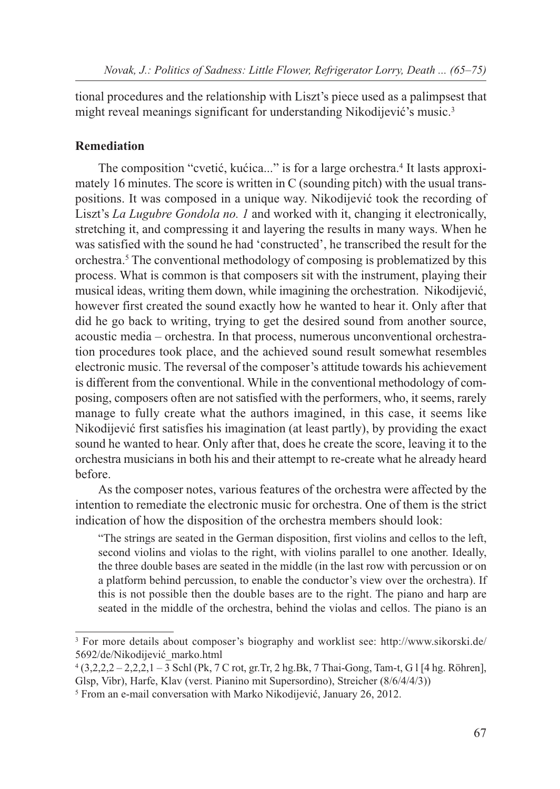tional procedures and the relationship with Liszt's piece used as a palimpsest that might reveal meanings significant for understanding Nikodijević's music.3

### **Remediation**

The composition "cvetić, kućica..." is for a large orchestra.4 It lasts approximately 16 minutes. The score is written in C (sounding pitch) with the usual transpositions. It was composed in a unique way. Nikodijević took the recording of Liszt's *La Lugubre Gondola no. 1* and worked with it, changing it electronically, stretching it, and compressing it and layering the results in many ways. When he was satisfied with the sound he had 'constructed', he transcribed the result for the orchestra.5 The conventional methodology of composing is problematized by this process. What is common is that composers sit with the instrument, playing their musical ideas, writing them down, while imagining the orchestration. Nikodijević, however first created the sound exactly how he wanted to hear it. Only after that did he go back to writing, trying to get the desired sound from another source, acoustic media – orchestra. In that process, numerous unconventional orchestration procedures took place, and the achieved sound result somewhat resembles electronic music. The reversal of the composer's attitude towards his achievement is different from the conventional. While in the conventional methodology of composing, composers often are not satisfied with the performers, who, it seems, rarely manage to fully create what the authors imagined, in this case, it seems like Nikodijević first satisfies his imagination (at least partly), by providing the exact sound he wanted to hear. Only after that, does he create the score, leaving it to the orchestra musicians in both his and their attempt to re-create what he already heard before.

As the composer notes, various features of the orchestra were affected by the intention to remediate the electronic music for orchestra. One of them is the strict indication of how the disposition of the orchestra members should look:

"The strings are seated in the German disposition, first violins and cellos to the left, second violins and violas to the right, with violins parallel to one another. Ideally, the three double bases are seated in the middle (in the last row with percussion or on a platform behind percussion, to enable the conductor's view over the orchestra). If this is not possible then the double bases are to the right. The piano and harp are seated in the middle of the orchestra, behind the violas and cellos. The piano is an

<sup>3</sup> For more details about composer's biography and worklist see: http://www.sikorski.de/ 5692/de/Nikodijević\_marko.html

 $^{4}$  (3,2,2,2 – 2,2,2,1 – 3 Schl (Pk, 7 C rot, gr.Tr, 2 hg.Bk, 7 Thai-Gong, Tam-t, G I [4 hg. Röhren], Glsp, Vibr), Harfe, Klav (verst. Pianino mit Supersordino), Streicher (8/6/4/4/3))

<sup>5</sup> From an e-mail conversation with Marko Nikodijević, January 26, 2012.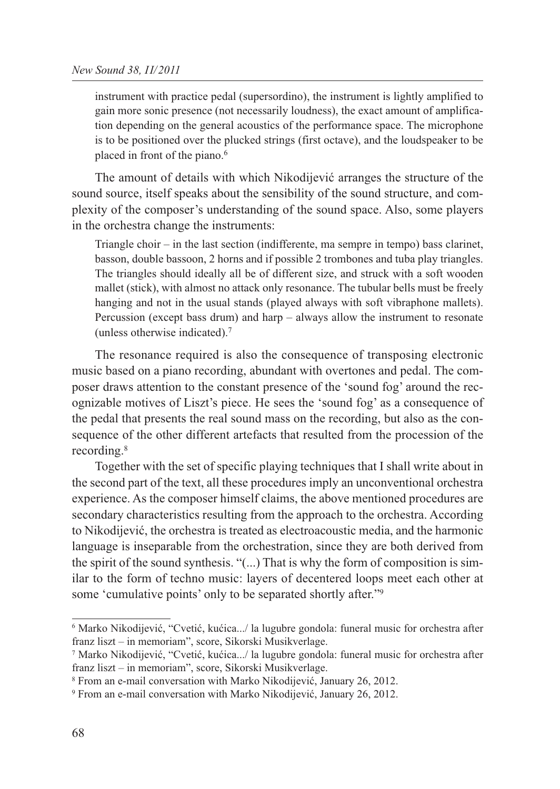instrument with practice pedal (supersordino), the instrument is lightly amplified to gain more sonic presence (not necessarily loudness), the exact amount of amplification depending on the general acoustics of the performance space. The microphone is to be positioned over the plucked strings (first octave), and the loudspeaker to be placed in front of the piano.<sup>6</sup>

The amount of details with which Nikodijević arranges the structure of the sound source, itself speaks about the sensibility of the sound structure, and complexity of the composer's understanding of the sound space. Also, some players in the orchestra change the instruments:

Triangle choir – in the last section (indifferente, ma sempre in tempo) bass clarinet, basson, double bassoon, 2 horns and if possible 2 trombones and tuba play triangles. The triangles should ideally all be of different size, and struck with a soft wooden mallet (stick), with almost no attack only resonance. The tubular bells must be freely hanging and not in the usual stands (played always with soft vibraphone mallets). Percussion (except bass drum) and harp – always allow the instrument to resonate (unless otherwise indicated).7

The resonance required is also the consequence of transposing electronic music based on a piano recording, abundant with overtones and pedal. The composer draws attention to the constant presence of the 'sound fog' around the recognizable motives of Liszt's piece. He sees the 'sound fog' as a consequence of the pedal that presents the real sound mass on the recording, but also as the consequence of the other different artefacts that resulted from the procession of the recording.8

Together with the set of specific playing techniques that I shall write about in the second part of the text, all these procedures imply an unconventional orchestra experience. As the composer himself claims, the above mentioned procedures are secondary characteristics resulting from the approach to the orchestra. According to Nikodijević, the orchestra is treated as electroacoustic media, and the harmonic language is inseparable from the orchestration, since they are both derived from the spirit of the sound synthesis. "(...) That is why the form of composition is similar to the form of techno music: layers of decentered loops meet each other at some 'cumulative points' only to be separated shortly after."<sup>9</sup>

<sup>6</sup> Marko Nikodijević, "Cvetić, kućica.../ la lugubre gondola: funeral music for orchestra after franz liszt – in memoriam", score, Sikorski Musikverlage.

<sup>7</sup> Marko Nikodijević, "Cvetić, kućica.../ la lugubre gondola: funeral music for orchestra after franz liszt – in memoriam", score, Sikorski Musikverlage.

<sup>8</sup> From an e-mail conversation with Marko Nikodijević, January 26, 2012.

<sup>9</sup> From an e-mail conversation with Marko Nikodijević, January 26, 2012.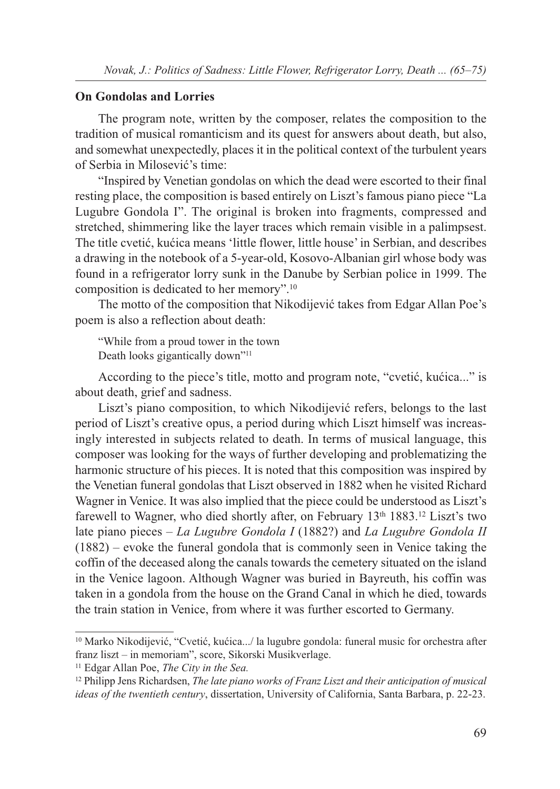#### **On Gondolas and Lorries**

The program note, written by the composer, relates the composition to the tradition of musical romanticism and its quest for answers about death, but also, and somewhat unexpectedly, places it in the political context of the turbulent years of Serbia in Milosević's time:

"Inspired by Venetian gondolas on which the dead were escorted to their final resting place, the composition is based entirely on Liszt's famous piano piece "La Lugubre Gondola I". The original is broken into fragments, compressed and stretched, shimmering like the layer traces which remain visible in a palimpsest. The title cvetić, kućica means 'little flower, little house' in Serbian, and describes a drawing in the notebook of a 5-year-old, Kosovo-Albanian girl whose body was found in a refrigerator lorry sunk in the Danube by Serbian police in 1999. The composition is dedicated to her memory".10

The motto of the composition that Nikodijević takes from Edgar Allan Poe's poem is also a reflection about death:

"While from a proud tower in the town Death looks gigantically down"<sup>11</sup>

According to the piece's title, motto and program note, "cvetić, kućica..." is about death, grief and sadness.

Liszt's piano composition, to which Nikodijević refers, belongs to the last period of Liszt's creative opus, a period during which Liszt himself was increasingly interested in subjects related to death. In terms of musical language, this composer was looking for the ways of further developing and problematizing the harmonic structure of his pieces. It is noted that this composition was inspired by the Venetian funeral gondolas that Liszt observed in 1882 when he visited Richard Wagner in Venice. It was also implied that the piece could be understood as Liszt's farewell to Wagner, who died shortly after, on February 13<sup>th</sup> 1883.<sup>12</sup> Liszt's two late piano pieces – *La Lugubre Gondola I* (1882?) and *La Lugubre Gondola II* (1882) – evoke the funeral gondola that is commonly seen in Venice taking the coffin of the deceased along the canals towards the cemetery situated on the island in the Venice lagoon. Although Wagner was buried in Bayreuth, his coffin was taken in a gondola from the house on the Grand Canal in which he died, towards the train station in Venice, from where it was further escorted to Germany.

<sup>10</sup> Marko Nikodijević, "Cvetić, kućica.../ la lugubre gondola: funeral music for orchestra after franz liszt – in memoriam", score, Sikorski Musikverlage.

<sup>11</sup> Edgar Allan Poe, *The City in the Sea.*

<sup>12</sup> Philipp Jens Richardsen, *The late piano works of Franz Liszt and their anticipation of musical ideas of the twentieth century*, dissertation, University of California, Santa Barbara, p. 22-23.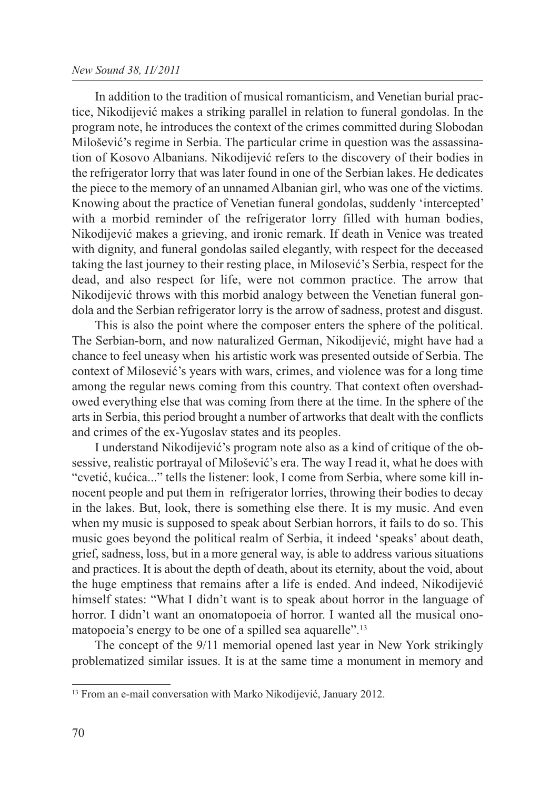#### *New Sound 38, II/2011*

In addition to the tradition of musical romanticism, and Venetian burial practice, Nikodijević makes a striking parallel in relation to funeral gondolas. In the program note, he introduces the context of the crimes committed during Slobodan Milošević's regime in Serbia. The particular crime in question was the assassination of Kosovo Albanians. Nikodijević refers to the discovery of their bodies in the refrigerator lorry that was later found in one of the Serbian lakes. He dedicates the piece to the memory of an unnamed Albanian girl, who was one of the victims. Knowing about the practice of Venetian funeral gondolas, suddenly 'intercepted' with a morbid reminder of the refrigerator lorry filled with human bodies, Nikodijević makes a grieving, and ironic remark. If death in Venice was treated with dignity, and funeral gondolas sailed elegantly, with respect for the deceased taking the last journey to their resting place, in Milosević's Serbia, respect for the dead, and also respect for life, were not common practice. The arrow that Nikodijević throws with this morbid analogy between the Venetian funeral gondola and the Serbian refrigerator lorry is the arrow of sadness, protest and disgust.

This is also the point where the composer enters the sphere of the political. The Serbian-born, and now naturalized German, Nikodijević, might have had a chance to feel uneasy when his artistic work was presented outside of Serbia. The context of Milosević's years with wars, crimes, and violence was for a long time among the regular news coming from this country. That context often overshadowed everything else that was coming from there at the time. In the sphere of the arts in Serbia, this period brought a number of artworks that dealt with the conflicts and crimes of the ex-Yugoslav states and its peoples.

I understand Nikodijević's program note also as a kind of critique of the obsessive, realistic portrayal of Milošević's era. The way I read it, what he does with "cvetić, kućica..." tells the listener: look, I come from Serbia, where some kill innocent people and put them in refrigerator lorries, throwing their bodies to decay in the lakes. But, look, there is something else there. It is my music. And even when my music is supposed to speak about Serbian horrors, it fails to do so. This music goes beyond the political realm of Serbia, it indeed 'speaks' about death, grief, sadness, loss, but in a more general way, is able to address various situations and practices. It is about the depth of death, about its eternity, about the void, about the huge emptiness that remains after a life is ended. And indeed, Nikodijević himself states: "What I didn't want is to speak about horror in the language of horror. I didn't want an onomatopoeia of horror. I wanted all the musical onomatopoeia's energy to be one of a spilled sea aquarelle".13

The concept of the 9/11 memorial opened last year in New York strikingly problematized similar issues. It is at the same time a monument in memory and

<sup>&</sup>lt;sup>13</sup> From an e-mail conversation with Marko Nikodijević, January 2012.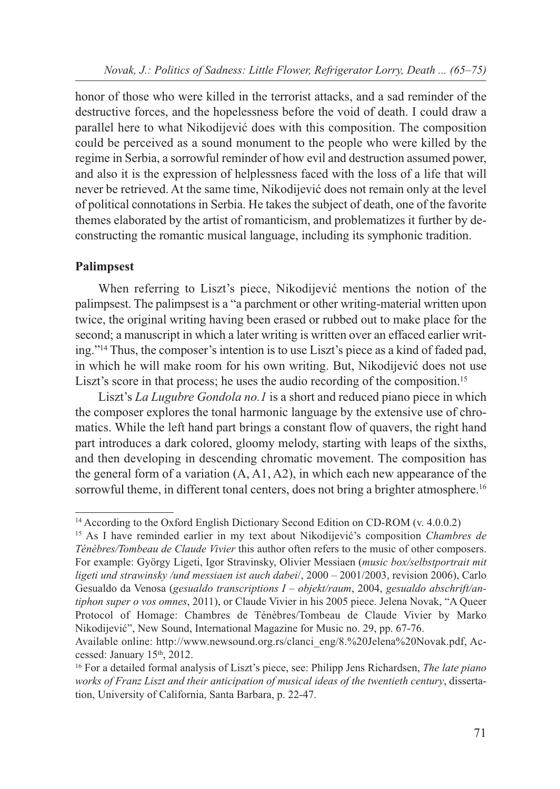honor of those who were killed in the terrorist attacks, and a sad reminder of the destructive forces, and the hopelessness before the void of death. I could draw a parallel here to what Nikodijević does with this composition. The composition could be perceived as a sound monument to the people who were killed by the regime in Serbia, a sorrowful reminder of how evil and destruction assumed power, and also it is the expression of helplessness faced with the loss of a life that will never be retrieved. At the same time, Nikodijević does not remain only at the level of political connotations in Serbia. He takes the subject of death, one of the favorite themes elaborated by the artist of romanticism, and problematizes it further by deconstructing the romantic musical language, including its symphonic tradition.

### **Palimpsest**

When referring to Liszt's piece, Nikodijević mentions the notion of the palimpsest. The palimpsest is a "a parchment or other writing-material written upon twice, the original writing having been erased or rubbed out to make place for the second; a manuscript in which a later writing is written over an effaced earlier writing."14 Thus, the composer's intention is to use Liszt's piece as a kind of faded pad, in which he will make room for his own writing. But, Nikodijević does not use Liszt's score in that process; he uses the audio recording of the composition.<sup>15</sup>

Liszt's *La Lugubre Gondola no.1* is a short and reduced piano piece in which the composer explores the tonal harmonic language by the extensive use of chromatics. While the left hand part brings a constant flow of quavers, the right hand part introduces a dark colored, gloomy melody, starting with leaps of the sixths, and then developing in descending chromatic movement. The composition has the general form of a variation (A, A1, A2), in which each new appearance of the sorrowful theme, in different tonal centers, does not bring a brighter atmosphere.<sup>16</sup>

<sup>&</sup>lt;sup>14</sup> According to the Oxford English Dictionary Second Edition on CD-ROM (v. 4.0.0.2)

<sup>15</sup> As I have reminded earlier in my text about Nikodijević's composition *Chambres de Ténèbres/Tombeau de Claude Vivier* this author often refers to the music of other composers. For example: György Ligeti, Igor Stravinsky, Olivier Messiaen (*music box/selbstportrait mit ligeti und strawinsky /und messiaen ist auch dabei*/, 2000 – 2001/2003, revision 2006), Carlo Gesualdo da Venosa (*gesualdo transcriptions I – objekt/raum*, 2004, *gesualdo abschrift/antiphon super o vos omnes*, 2011), or Claude Vivier in his 2005 piece. Jelena Novak, "A Queer Protocol of Homage: Chambres de Ténèbres/Tombeau de Claude Vivier by Marko Nikodijević", New Sound, International Magazine for Music no. 29, pp. 67-76.

Available online: http://www.newsound.org.rs/clanci\_eng/8.%20Jelena%20Novak.pdf, Accessed: January 15<sup>th</sup>, 2012.

<sup>16</sup> For a detailed formal analysis of Liszt's piece, see: Philipp Jens Richardsen, *The late piano works of Franz Liszt and their anticipation of musical ideas of the twentieth century*, dissertation, University of California, Santa Barbara, p. 22-47.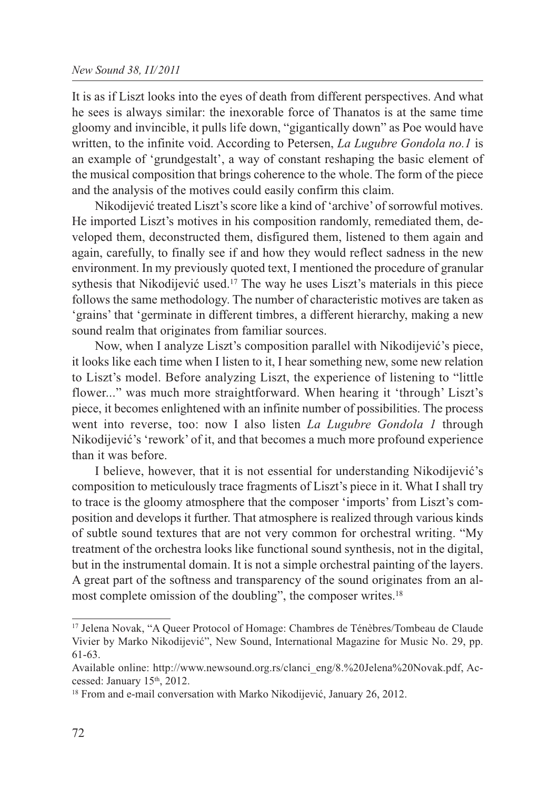It is as if Liszt looks into the eyes of death from different perspectives. And what he sees is always similar: the inexorable force of Thanatos is at the same time gloomy and invincible, it pulls life down, "gigantically down" as Poe would have written, to the infinite void. According to Petersen, *La Lugubre Gondola no.1* is an example of 'grundgestalt', a way of constant reshaping the basic element of the musical composition that brings coherence to the whole. The form of the piece and the analysis of the motives could easily confirm this claim.

Nikodijević treated Liszt's score like a kind of 'archive' of sorrowful motives. He imported Liszt's motives in his composition randomly, remediated them, developed them, deconstructed them, disfigured them, listened to them again and again, carefully, to finally see if and how they would reflect sadness in the new environment. In my previously quoted text, I mentioned the procedure of granular sythesis that Nikodijević used.<sup>17</sup> The way he uses Liszt's materials in this piece follows the same methodology. The number of characteristic motives are taken as 'grains' that 'germinate in different timbres, a different hierarchy, making a new sound realm that originates from familiar sources.

Now, when I analyze Liszt's composition parallel with Nikodijević's piece, it looks like each time when I listen to it, I hear something new, some new relation to Liszt's model. Before analyzing Liszt, the experience of listening to "little flower..." was much more straightforward. When hearing it 'through' Liszt's piece, it becomes enlightened with an infinite number of possibilities. The process went into reverse, too: now I also listen *La Lugubre Gondola 1* through Nikodijević's 'rework' of it, and that becomes a much more profound experience than it was before.

I believe, however, that it is not essential for understanding Nikodijević's composition to meticulously trace fragments of Liszt's piece in it. What I shall try to trace is the gloomy atmosphere that the composer 'imports' from Liszt's composition and develops it further. That atmosphere is realized through various kinds of subtle sound textures that are not very common for orchestral writing. "My treatment of the orchestra looks like functional sound synthesis, not in the digital, but in the instrumental domain. It is not a simple orchestral painting of the layers. A great part of the softness and transparency of the sound originates from an almost complete omission of the doubling", the composer writes.<sup>18</sup>

<sup>17</sup> Jelena Novak, "A Queer Protocol of Homage: Chambres de Ténèbres/Tombeau de Claude Vivier by Marko Nikodijević", New Sound, International Magazine for Music No. 29, pp. 61-63.

Available online: http://www.newsound.org.rs/clanci\_eng/8.%20Jelena%20Novak.pdf, Accessed: January 15<sup>th</sup>, 2012.

<sup>&</sup>lt;sup>18</sup> From and e-mail conversation with Marko Nikodijević, January 26, 2012.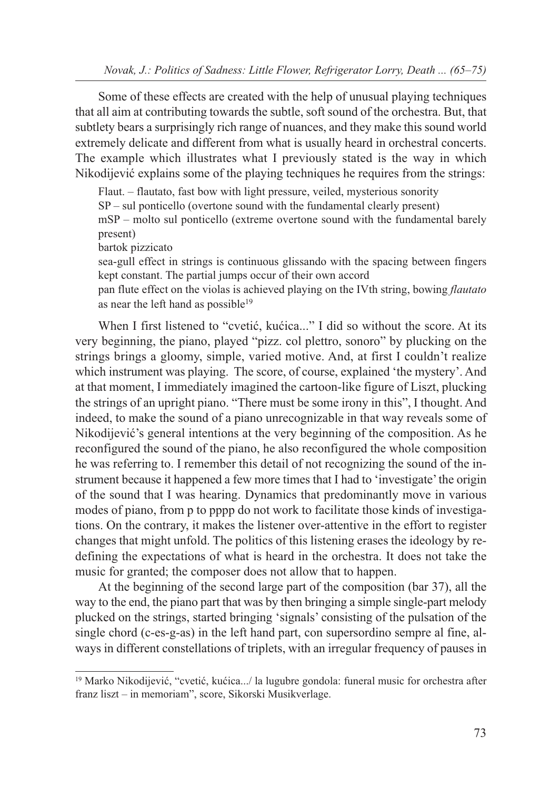Some of these effects are created with the help of unusual playing techniques that all aim at contributing towards the subtle, soft sound of the orchestra. But, that subtlety bears a surprisingly rich range of nuances, and they make this sound world extremely delicate and different from what is usually heard in orchestral concerts. The example which illustrates what I previously stated is the way in which Nikodijević explains some of the playing techniques he requires from the strings:

Flaut. – flautato, fast bow with light pressure, veiled, mysterious sonority SP – sul ponticello (overtone sound with the fundamental clearly present) mSP – molto sul ponticello (extreme overtone sound with the fundamental barely present)

bartok pizzicato

sea-gull effect in strings is continuous glissando with the spacing between fingers kept constant. The partial jumps occur of their own accord

pan flute effect on the violas is achieved playing on the IVth string, bowing *flautato* as near the left hand as possible<sup>19</sup>

When I first listened to "cvetić, kućica..." I did so without the score. At its very beginning, the piano, played "pizz. col plettro, sonoro" by plucking on the strings brings a gloomy, simple, varied motive. And, at first I couldn't realize which instrument was playing. The score, of course, explained 'the mystery'. And at that moment, I immediately imagined the cartoon-like figure of Liszt, plucking the strings of an upright piano. "There must be some irony in this", I thought. And indeed, to make the sound of a piano unrecognizable in that way reveals some of Nikodijević's general intentions at the very beginning of the composition. As he reconfigured the sound of the piano, he also reconfigured the whole composition he was referring to. I remember this detail of not recognizing the sound of the instrument because it happened a few more times that I had to 'investigate' the origin of the sound that I was hearing. Dynamics that predominantly move in various modes of piano, from p to pppp do not work to facilitate those kinds of investigations. On the contrary, it makes the listener over-attentive in the effort to register changes that might unfold. The politics of this listening erases the ideology by redefining the expectations of what is heard in the orchestra. It does not take the music for granted; the composer does not allow that to happen.

At the beginning of the second large part of the composition (bar 37), all the way to the end, the piano part that was by then bringing a simple single-part melody plucked on the strings, started bringing 'signals' consisting of the pulsation of the single chord (c-es-g-as) in the left hand part, con supersordino sempre al fine, always in different constellations of triplets, with an irregular frequency of pauses in

<sup>19</sup> Marko Nikodijević, "cvetić, kućica.../ la lugubre gondola: funeral music for orchestra after franz liszt – in memoriam", score, Sikorski Musikverlage.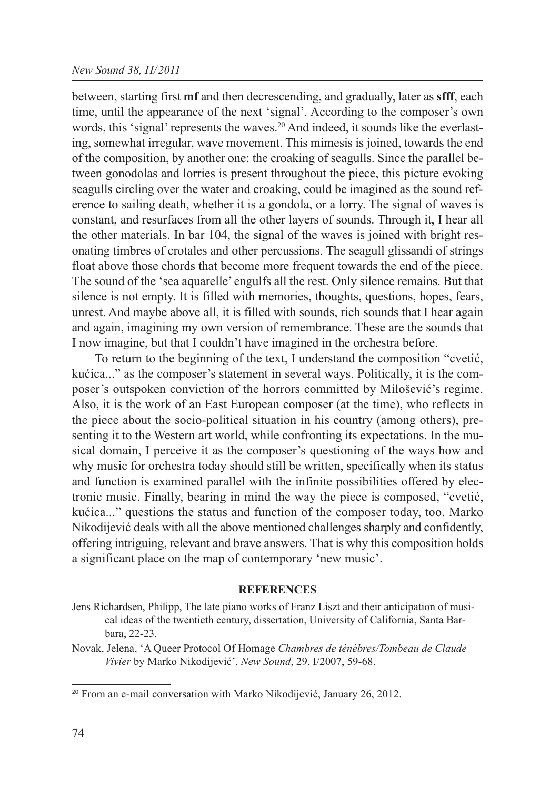#### *New Sound 38, II/2011*

between, starting first **mf** and then decrescending, and gradually, later as **sfff**, each time, until the appearance of the next 'signal'. According to the composer's own words, this 'signal' represents the waves.<sup>20</sup> And indeed, it sounds like the everlasting, somewhat irregular, wave movement. This mimesis is joined, towards the end of the composition, by another one: the croaking of seagulls. Since the parallel between gonodolas and lorries is present throughout the piece, this picture evoking seagulls circling over the water and croaking, could be imagined as the sound reference to sailing death, whether it is a gondola, or a lorry. The signal of waves is constant, and resurfaces from all the other layers of sounds. Through it, I hear all the other materials. In bar 104, the signal of the waves is joined with bright resonating timbres of crotales and other percussions. The seagull glissandi of strings float above those chords that become more frequent towards the end of the piece. The sound of the 'sea aquarelle' engulfs all the rest. Only silence remains. But that silence is not empty. It is filled with memories, thoughts, questions, hopes, fears, unrest. And maybe above all, it is filled with sounds, rich sounds that I hear again and again, imagining my own version of remembrance. These are the sounds that I now imagine, but that I couldn't have imagined in the orchestra before.

To return to the beginning of the text, I understand the composition "cvetić, kućica..." as the composer's statement in several ways. Politically, it is the composer's outspoken conviction of the horrors committed by Milošević's regime. Also, it is the work of an East European composer (at the time), who reflects in the piece about the socio-political situation in his country (among others), presenting it to the Western art world, while confronting its expectations. In the musical domain, I perceive it as the composer's questioning of the ways how and why music for orchestra today should still be written, specifically when its status and function is examined parallel with the infinite possibilities offered by electronic music. Finally, bearing in mind the way the piece is composed, "cvetić, kućica..." questions the status and function of the composer today, too. Marko Nikodijević deals with all the above mentioned challenges sharply and confidently, offering intriguing, relevant and brave answers. That is why this composition holds a significant place on the map of contemporary 'new music'.

#### **REFERENCES**

Jens Richardsen, Philipp, The late piano works of Franz Liszt and their anticipation of musical ideas of the twentieth century, dissertation, University of California, Santa Barbara, 22-23.

Novak, Jelena, 'A Queer Protocol Of Homage *Chambres de ténèbres/Tombeau de Claude Vivier* by Marko Nikodijević', *New Sound*, 29, I/2007, 59-68.

<sup>20</sup> From an e-mail conversation with Marko Nikodijević, January 26, 2012.